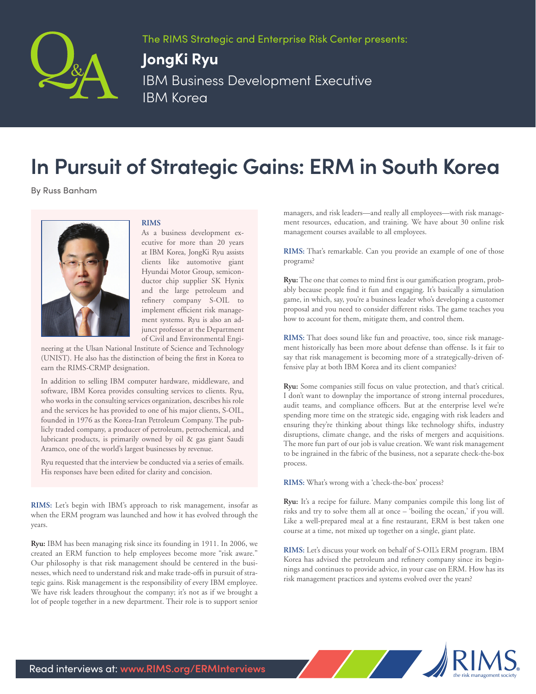

The RIMS Strategic and Enterprise Risk Center presents:

## **JongKi Ryu**

IBM Business Development Executive IBM Korea

## **In Pursuit of Strategic Gains: ERM in South Korea**

By Russ Banham



## **RIMS**

As a business development executive for more than 20 years at IBM Korea, JongKi Ryu assists clients like automotive giant Hyundai Motor Group, semiconductor chip supplier SK Hynix and the large petroleum and refinery company S-OIL to implement efficient risk management systems. Ryu is also an adjunct professor at the Department of Civil and Environmental Engi-

neering at the Ulsan National Institute of Science and Technology (UNIST). He also has the distinction of being the first in Korea to earn the RIMS-CRMP designation.

In addition to selling IBM computer hardware, middleware, and software, IBM Korea provides consulting services to clients. Ryu, who works in the consulting services organization, describes his role and the services he has provided to one of his major clients, S-OIL, founded in 1976 as the Korea-Iran Petroleum Company. The publicly traded company, a producer of petroleum, petrochemical, and lubricant products, is primarily owned by oil & gas giant Saudi Aramco, one of the world's largest businesses by revenue.

Ryu requested that the interview be conducted via a series of emails. His responses have been edited for clarity and concision.

**RIMS:** Let's begin with IBM's approach to risk management, insofar as when the ERM program was launched and how it has evolved through the years.

**Ryu:** IBM has been managing risk since its founding in 1911. In 2006, we created an ERM function to help employees become more "risk aware." Our philosophy is that risk management should be centered in the businesses, which need to understand risk and make trade-offs in pursuit of strategic gains. Risk management is the responsibility of every IBM employee. We have risk leaders throughout the company; it's not as if we brought a lot of people together in a new department. Their role is to support senior

managers, and risk leaders—and really all employees—with risk management resources, education, and training. We have about 30 online risk management courses available to all employees.

**RIMS:** That's remarkable. Can you provide an example of one of those programs?

**Ryu:** The one that comes to mind first is our gamification program, probably because people find it fun and engaging. It's basically a simulation game, in which, say, you're a business leader who's developing a customer proposal and you need to consider different risks. The game teaches you how to account for them, mitigate them, and control them.

**RIMS:** That does sound like fun and proactive, too, since risk management historically has been more about defense than offense. Is it fair to say that risk management is becoming more of a strategically-driven offensive play at both IBM Korea and its client companies?

**Ryu:** Some companies still focus on value protection, and that's critical. I don't want to downplay the importance of strong internal procedures, audit teams, and compliance officers. But at the enterprise level we're spending more time on the strategic side, engaging with risk leaders and ensuring they're thinking about things like technology shifts, industry disruptions, climate change, and the risks of mergers and acquisitions. The more fun part of our job is value creation. We want risk management to be ingrained in the fabric of the business, not a separate check-the-box process.

**RIMS:** What's wrong with a 'check-the-box' process?

**Ryu:** It's a recipe for failure. Many companies compile this long list of risks and try to solve them all at once – 'boiling the ocean,' if you will. Like a well-prepared meal at a fine restaurant, ERM is best taken one course at a time, not mixed up together on a single, giant plate.

**RIMS:** Let's discuss your work on behalf of S-OIL's ERM program. IBM Korea has advised the petroleum and refinery company since its beginnings and continues to provide advice, in your case on ERM. How has its risk management practices and systems evolved over the years?